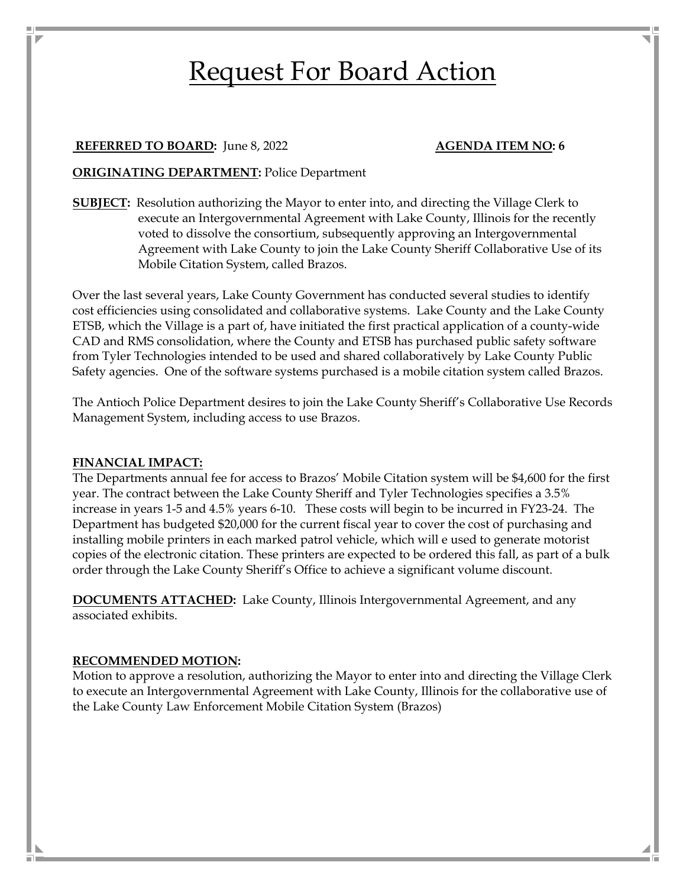# Request For Board Action

## **REFERRED TO BOARD:** June 8, 2022 **AGENDA ITEM NO: 6**

# **ORIGINATING DEPARTMENT:** Police Department

**SUBJECT:** Resolution authorizing the Mayor to enter into, and directing the Village Clerk to execute an Intergovernmental Agreement with Lake County, Illinois for the recently voted to dissolve the consortium, subsequently approving an Intergovernmental Agreement with Lake County to join the Lake County Sheriff Collaborative Use of its Mobile Citation System, called Brazos.

Over the last several years, Lake County Government has conducted several studies to identify cost efficiencies using consolidated and collaborative systems. Lake County and the Lake County ETSB, which the Village is a part of, have initiated the first practical application of a county-wide CAD and RMS consolidation, where the County and ETSB has purchased public safety software from Tyler Technologies intended to be used and shared collaboratively by Lake County Public Safety agencies. One of the software systems purchased is a mobile citation system called Brazos.

The Antioch Police Department desires to join the Lake County Sheriff's Collaborative Use Records Management System, including access to use Brazos.

#### **FINANCIAL IMPACT:**

The Departments annual fee for access to Brazos' Mobile Citation system will be \$4,600 for the first year. The contract between the Lake County Sheriff and Tyler Technologies specifies a 3.5% increase in years 1-5 and 4.5% years 6-10. These costs will begin to be incurred in FY23-24. The Department has budgeted \$20,000 for the current fiscal year to cover the cost of purchasing and installing mobile printers in each marked patrol vehicle, which will e used to generate motorist copies of the electronic citation. These printers are expected to be ordered this fall, as part of a bulk order through the Lake County Sheriff's Office to achieve a significant volume discount.

**DOCUMENTS ATTACHED:** Lake County, Illinois Intergovernmental Agreement, and any associated exhibits.

#### **RECOMMENDED MOTION:**

Motion to approve a resolution, authorizing the Mayor to enter into and directing the Village Clerk to execute an Intergovernmental Agreement with Lake County, Illinois for the collaborative use of the Lake County Law Enforcement Mobile Citation System (Brazos)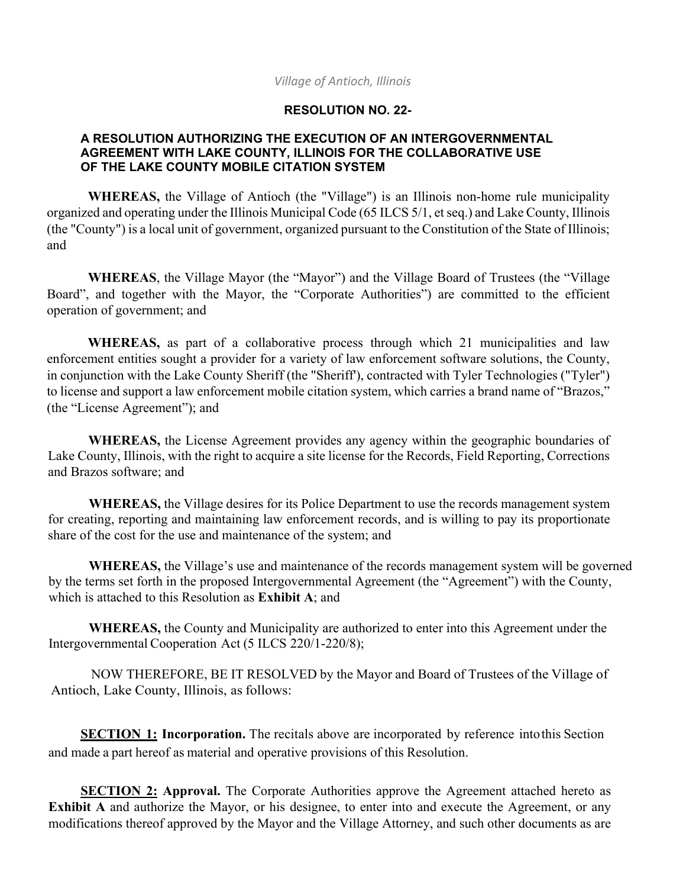#### *Village of Antioch, Illinois*

# **RESOLUTION NO. 22-**

## **A RESOLUTION AUTHORIZING THE EXECUTION OF AN INTERGOVERNMENTAL AGREEMENT WITH LAKE COUNTY, ILLINOIS FOR THE COLLABORATIVE USE OF THE LAKE COUNTY MOBILE CITATION SYSTEM**

**WHEREAS,** the Village of Antioch (the "Village") is an Illinois non-home rule municipality organized and operating under the Illinois Municipal Code (65 ILCS 5/1, et seq.) and Lake County, Illinois (the "County") is a local unit of government, organized pursuant to the Constitution of the State of Illinois; and

**WHEREAS**, the Village Mayor (the "Mayor") and the Village Board of Trustees (the "Village Board", and together with the Mayor, the "Corporate Authorities") are committed to the efficient operation of government; and

**WHEREAS,** as part of a collaborative process through which 21 municipalities and law enforcement entities sought a provider for a variety of law enforcement software solutions, the County, in conjunction with the Lake County Sheriff (the "Sheriff'), contracted with Tyler Technologies ("Tyler") to license and support a law enforcement mobile citation system, which carries a brand name of "Brazos," (the "License Agreement"); and

**WHEREAS,** the License Agreement provides any agency within the geographic boundaries of Lake County, Illinois, with the right to acquire a site license for the Records, Field Reporting, Corrections and Brazos software; and

**WHEREAS,** the Village desires for its Police Department to use the records management system for creating, reporting and maintaining law enforcement records, and is willing to pay its proportionate share of the cost for the use and maintenance of the system; and

**WHEREAS,** the Village's use and maintenance of the records management system will be governed by the terms set forth in the proposed Intergovernmental Agreement (the "Agreement") with the County, which is attached to this Resolution as **Exhibit A**; and

**WHEREAS,** the County and Municipality are authorized to enter into this Agreement under the Intergovernmental Cooperation Act (5 ILCS 220/1-220/8);

NOW THEREFORE, BE IT RESOLVED by the Mayor and Board of Trustees of the Village of Antioch, Lake County, Illinois, as follows:

**SECTION 1: Incorporation.** The recitals above are incorporated by reference into this Section and made a part hereof as material and operative provisions of this Resolution.

**SECTION 2: Approval.** The Corporate Authorities approve the Agreement attached hereto as **Exhibit A** and authorize the Mayor, or his designee, to enter into and execute the Agreement, or any modifications thereof approved by the Mayor and the Village Attorney, and such other documents as are